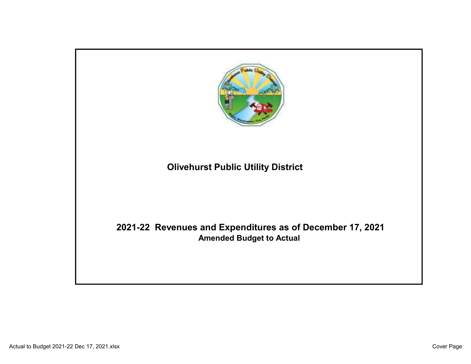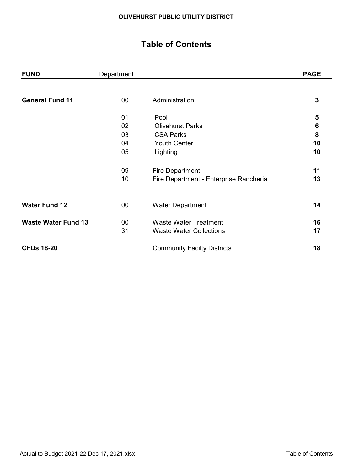# Table of Contents

| <b>FUND</b>                | Department |                                        | <b>PAGE</b>     |
|----------------------------|------------|----------------------------------------|-----------------|
|                            |            |                                        |                 |
| <b>General Fund 11</b>     | $00\,$     | Administration                         | 3               |
|                            | 01         | Pool                                   | 5               |
|                            | 02         | <b>Olivehurst Parks</b>                | $6\phantom{1}6$ |
|                            | 03         | <b>CSA Parks</b>                       | 8               |
|                            | 04         | <b>Youth Center</b>                    | 10              |
|                            | 05         | Lighting                               | 10              |
|                            | 09         | <b>Fire Department</b>                 | 11              |
|                            | 10         | Fire Department - Enterprise Rancheria | 13              |
|                            |            |                                        |                 |
| <b>Water Fund 12</b>       | $00\,$     | <b>Water Department</b>                | 14              |
| <b>Waste Water Fund 13</b> | $00\,$     | <b>Waste Water Treatment</b>           | 16              |
|                            | 31         | <b>Waste Water Collections</b>         | 17              |
| <b>CFDs 18-20</b>          |            | <b>Community Facilty Districts</b>     | 18              |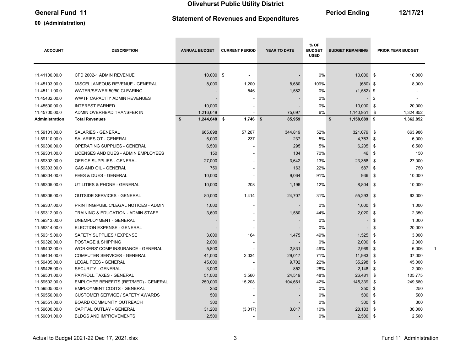# General Fund 11 12/17/21

00 (Administration)

# Statement of Revenues and Expenditures

 $\sim$ 

**Contract Contract Contract** 

**Contract Contract Contract** 

| <b>ACCOUNT</b> | <b>DESCRIPTION</b>                       | <b>ANNUAL BUDGET</b> | <b>CURRENT PERIOD</b>    | YEAR TO DATE | % OF<br><b>BUDGET</b><br><b>USED</b> | <b>BUDGET REMAINING</b> | <b>PRIOR YEAR BUDGET</b> |                          |  |
|----------------|------------------------------------------|----------------------|--------------------------|--------------|--------------------------------------|-------------------------|--------------------------|--------------------------|--|
|                |                                          |                      |                          |              |                                      |                         |                          |                          |  |
| 11.41100.00.0  | CFD 2002-1 ADMIN REVENUE                 | 10,000 \$            | $\blacksquare$           |              | 0%                                   | 10,000 \$               |                          | 10,000                   |  |
| 11.45103.00.0  | MISCELLANEOUS REVENUE - GENERAL          | 8,000                | 1,200                    | 8,680        | 109%                                 | $(680)$ \$              |                          | 8,000                    |  |
| 11.45111.00.0  | WATER/SEWER 50/50 CLEARING               |                      | 546                      | 1,582        | 0%                                   | $(1,582)$ \$            |                          |                          |  |
| 11.45432.00.0  | <b>WWTF CAPACITY ADMIN REVENUES</b>      |                      |                          |              | 0%                                   |                         | \$                       | $\overline{\phantom{a}}$ |  |
| 11.45500.00.0  | <b>INTEREST EARNED</b>                   | 10,000               |                          |              | 0%                                   | 10,000                  | \$                       | 20,000                   |  |
| 11.45700.00.0  | ADMIN OVERHEAD TRANSFER IN               | 1,216,648            | $\blacksquare$           | 75,697       | 6%                                   | 1,140,951               | \$                       | 1,324,852                |  |
| Administration | <b>Total Revenues</b>                    | \$<br>1,244,648 \$   | $1,746$ \$               | 85,959       |                                      | \$<br>1,158,689 \$      |                          | 1,362,852                |  |
| 11.59101.00.0  | SALARIES - GENERAL                       | 665,898              | 57,267                   | 344,819      | 52%                                  | 321,079                 | \$                       | 663,986                  |  |
| 11.59110.00.0  | SALARIES OT - GENERAL                    | 5,000                | 237                      | 237          | 5%                                   | 4,763                   | - \$                     | 6,000                    |  |
| 11.59300.00.0  | OPERATING SUPPLIES - GENERAL             | 6,500                |                          | 295          | 5%                                   | 6,205                   | \$                       | 6,500                    |  |
| 11.59301.00.0  | LICENSES AND DUES - ADMIN EMPLOYEES      | 150                  |                          | 104          | 70%                                  | 46                      | \$                       | 150                      |  |
| 11.59302.00.0  | OFFICE SUPPLIES - GENERAL                | 27,000               | $\overline{\phantom{a}}$ | 3,642        | 13%                                  | 23,358                  | \$                       | 27,000                   |  |
| 11.59303.00.0  | <b>GAS AND OIL - GENERAL</b>             | 750                  | $\blacksquare$           | 163          | 22%                                  | 587                     | \$                       | 750                      |  |
| 11.59304.00.0  | <b>FEES &amp; DUES - GENERAL</b>         | 10,000               |                          | 9,064        | 91%                                  | 936                     | -\$                      | 10,000                   |  |
| 11.59305.00.0  | UTILITIES & PHONE - GENERAL              | 10,000               | 208                      | 1,196        | 12%                                  | 8,804 \$                |                          | 10,000                   |  |
| 11.59306.00.0  | <b>OUTSIDE SERVICES - GENERAL</b>        | 80,000               | 1,414                    | 24,707       | 31%                                  | 55,293 \$               |                          | 63,000                   |  |
| 11.59307.00.0  | PRINTING/PUBLIC/LEGAL NOTICES - ADMIN    | 1,000                | $\blacksquare$           |              | 0%                                   | $1,000$ \$              |                          | 1,000                    |  |
| 11.59312.00.0  | TRAINING & EDUCATION - ADMIN STAFF       | 3,600                |                          | 1,580        | 44%                                  | 2,020                   | \$                       | 2,350                    |  |
| 11.59313.00.0  | UNEMPLOYMENT - GENERAL                   |                      | $\overline{\phantom{a}}$ |              | 0%                                   |                         | \$                       | 1,000                    |  |
| 11.59314.00.0  | ELECTION EXPENSE - GENERAL               |                      |                          |              | 0%                                   |                         | \$                       | 20,000                   |  |
| 11.59315.00.0  | SAFETY SUPPLIES / EXPENSE                | 3,000                | 164                      | 1,475        | 49%                                  | 1,525                   | -\$                      | 3,000                    |  |
| 11.59320.00.0  | POSTAGE & SHIPPING                       | 2,000                | $\blacksquare$           |              | 0%                                   | 2,000                   | \$                       | 2,000                    |  |
| 11.59402.00.0  | <b>WORKERS' COMP INSURANCE - GENERAL</b> | 5,800                |                          | 2,831        | 49%                                  | 2,969                   | \$                       | 6,006                    |  |
| 11.59404.00.0  | <b>COMPUTER SERVICES - GENERAL</b>       | 41,000               | 2,034                    | 29,017       | 71%                                  | 11,983                  | -\$                      | 37,000                   |  |
| 11.59405.00.0  | <b>LEGAL FEES - GENERAL</b>              | 45,000               |                          | 9,702        | 22%                                  | 35,298                  | \$                       | 45,000                   |  |
| 11.59425.00.0  | <b>SECURITY - GENERAL</b>                | 3,000                |                          | 852          | 28%                                  | 2,148                   | \$                       | 2,000                    |  |
| 11.59501.00.0  | PAYROLL TAXES - GENERAL                  | 51,000               | 3,560                    | 24,519       | 48%                                  | 26,481                  | - \$                     | 105,775                  |  |
| 11.59502.00.0  | EMPLOYEE BENEFITS (RET/MED) - GENERAL    | 250,000              | 15,208                   | 104,661      | 42%                                  | 145,339                 | \$                       | 249,680                  |  |
| 11.59505.00.0  | <b>EMPLOYMENT COSTS - GENERAL</b>        | 250                  |                          |              | 0%                                   | 250                     | \$                       | 250                      |  |
| 11.59550.00.0  | <b>CUSTOMER SERVICE / SAFETY AWARDS</b>  | 500                  |                          |              | 0%                                   | 500                     | \$                       | 500                      |  |
| 11.59551.00.0  | BOARD COMMUNITY OUTREACH                 | 300                  |                          |              | 0%                                   | 300                     | \$                       | 300                      |  |
| 11.59600.00.0  | CAPITAL OUTLAY - GENERAL                 | 31,200               | (3,017)                  | 3,017        | 10%                                  | 28,183                  | \$                       | 30,000                   |  |
| 11.59801.00.0  | <b>BLDGS AND IMPROVEMENTS</b>            | 2,500                |                          |              | 0%                                   | $2,500$ \$              |                          | 2,500                    |  |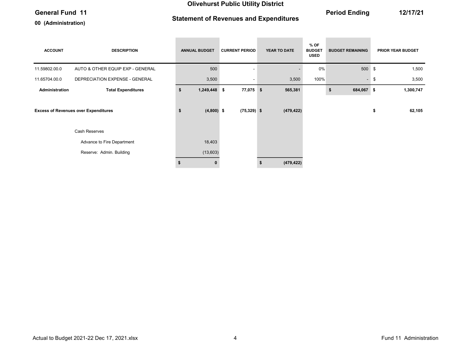00 (Administration)

# Statement of Revenues and Expenditures

General Fund 11 12/17/21

| <b>ACCOUNT</b>        | <b>DESCRIPTION</b>                          | <b>ANNUAL BUDGET</b> | <b>CURRENT PERIOD</b>    | YEAR TO DATE | $%$ OF<br><b>BUDGET</b><br><b>USED</b> | <b>BUDGET REMAINING</b> | <b>PRIOR YEAR BUDGET</b> |
|-----------------------|---------------------------------------------|----------------------|--------------------------|--------------|----------------------------------------|-------------------------|--------------------------|
| 11.59802.00.0         | AUTO & OTHER EQUIP EXP - GENERAL            | 500                  |                          |              | 0%                                     | 500                     | \$<br>1,500              |
| 11.65704.00.0         | DEPRECIATION EXPENSE - GENERAL              | 3,500                | $\overline{\phantom{a}}$ | 3,500        | 100%                                   | $\sim$                  | \$<br>3,500              |
| <b>Administration</b> | <b>Total Expenditures</b>                   | \$<br>$1,249,448$ \$ | 77,075 \$                | 565,381      |                                        | 684,067 \$<br>\$        | 1,300,747                |
|                       | <b>Excess of Revenues over Expenditures</b> | \$<br>$(4,800)$ \$   | $(75, 329)$ \$           | (479, 422)   |                                        |                         | \$<br>62,105             |
|                       | Cash Reserves                               |                      |                          |              |                                        |                         |                          |
|                       | Advance to Fire Department                  | 18,403               |                          |              |                                        |                         |                          |
|                       | Reserve: Admin. Building                    | (13,603)             |                          |              |                                        |                         |                          |
|                       |                                             | 0                    |                          | (479, 422)   |                                        |                         |                          |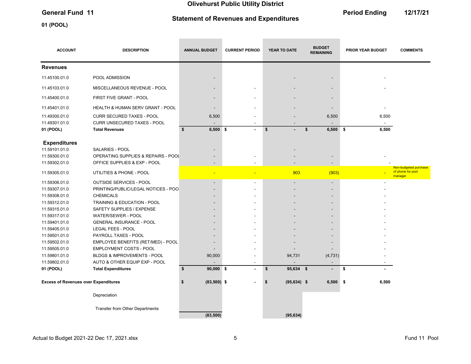Statement of Revenues and Expenditures

01 (POOL)

General Fund 11 **Contract Contract Contract Contract Contract Contract Contract Contract Contract Contract Contract Contract Contract Contract Contract Contract Contract Contract Contract Contract Contract Contract Contrac** 

| <b>ACCOUNT</b>                              | <b>DESCRIPTION</b>                                                                       | <b>ANNUAL BUDGET</b>      | <b>CURRENT PERIOD</b>    | YEAR TO DATE              | <b>BUDGET</b><br><b>REMAINING</b>                    | PRIOR YEAR BUDGET | <b>COMMENTS</b>                                       |
|---------------------------------------------|------------------------------------------------------------------------------------------|---------------------------|--------------------------|---------------------------|------------------------------------------------------|-------------------|-------------------------------------------------------|
| <b>Revenues</b>                             |                                                                                          |                           |                          |                           |                                                      |                   |                                                       |
| 11.45100.01.0                               | POOL ADMISSION                                                                           |                           |                          |                           |                                                      |                   |                                                       |
| 11.45103.01.0                               | MISCELLANEOUS REVENUE - POOL                                                             |                           |                          |                           |                                                      |                   |                                                       |
| 11.45400.01.0                               | FIRST FIVE GRANT - POOL                                                                  |                           |                          |                           | $\overline{\phantom{a}}$                             |                   |                                                       |
| 11.45401.01.0                               | HEALTH & HUMAN SERV GRANT - POOL                                                         |                           |                          |                           | $\overline{\phantom{a}}$                             |                   |                                                       |
| 11.49300.01.0<br>11.49301.01.0<br>01 (POOL) | <b>CURR SECURED TAXES - POOL</b><br>CURR UNSECURED TAXES - POOL<br><b>Total Revenues</b> | 6,500<br>\$<br>$6,500$ \$ | $\blacksquare$           | $\boldsymbol{\mathsf{s}}$ | 6,500<br>\$<br>$6,500$ \$                            | 6,500<br>6,500    |                                                       |
|                                             |                                                                                          |                           |                          |                           |                                                      |                   |                                                       |
| <b>Expenditures</b><br>11.59101.01.0        | SALARIES - POOL                                                                          |                           |                          |                           |                                                      |                   |                                                       |
| 11.59300.01.0<br>11.59302.01.0              | OPERATING SUPPLIES & REPAIRS - POOL<br>OFFICE SUPPLIES & EXP - POOL                      |                           |                          |                           |                                                      |                   |                                                       |
| 11.59305.01.0                               | UTILITIES & PHONE - POOL                                                                 |                           | $\overline{\phantom{a}}$ | 903                       | (903)                                                |                   | Non-budgeted purchase<br>of phone for pool<br>manager |
| 11.59306.01.0                               | OUTSIDE SERVICES - POOL                                                                  |                           | $\sim$                   |                           | $\sim$                                               |                   |                                                       |
| 11.59307.01.0                               | PRINTING/PUBLIC/LEGAL NOTICES - POO                                                      |                           |                          |                           |                                                      |                   |                                                       |
| 11.59308.01.0                               | <b>CHEMICALS</b>                                                                         |                           |                          |                           |                                                      |                   |                                                       |
| 11.59312.01.0<br>11.59315.01.0              | TRAINING & EDUCATION - POOL<br>SAFETY SUPPLIES / EXPENSE                                 |                           |                          |                           | $\overline{\phantom{a}}$<br>$\overline{\phantom{a}}$ |                   |                                                       |
| 11.59317.01.0                               | WATER/SEWER - POOL                                                                       |                           |                          |                           |                                                      |                   |                                                       |
| 11.59401.01.0                               | <b>GENERAL INSURANCE - POOL</b>                                                          |                           |                          |                           |                                                      |                   |                                                       |
| 11.59405.01.0                               | <b>LEGAL FEES - POOL</b>                                                                 |                           |                          |                           |                                                      |                   |                                                       |
| 11.59501.01.0                               | PAYROLL TAXES - POOL                                                                     |                           |                          |                           |                                                      |                   |                                                       |
| 11.59502.01.0                               | EMPLOYEE BENEFITS (RET/MED) - POOL                                                       |                           |                          |                           |                                                      |                   |                                                       |
| 11.59505.01.0                               | EMPLOYMENT COSTS - POOL                                                                  |                           |                          |                           |                                                      |                   |                                                       |
| 11.59801.01.0                               | BLDGS & IMPROVEMENTS - POOL                                                              | 90,000                    |                          | 94,731                    | (4, 731)                                             |                   |                                                       |
| 11.59802.01.0                               | AUTO & OTHER EQUIP EXP - POOL                                                            |                           | $\blacksquare$           |                           | $\blacksquare$                                       |                   |                                                       |
| 01 (POOL)                                   | <b>Total Expenditures</b>                                                                | \$<br>$90,000$ \$         | $\blacksquare$           | \$<br>95,634 \$           |                                                      | \$                |                                                       |
| <b>Excess of Revenues over Expenditures</b> |                                                                                          | $(83,500)$ \$<br>\$       |                          | $(95, 634)$ \$<br>\$      | 6,500                                                | \$<br>6,500       |                                                       |
|                                             | Depreciation                                                                             |                           |                          |                           |                                                      |                   |                                                       |
|                                             | Transfer from Other Departments                                                          | (83, 500)                 |                          | (95, 634)                 |                                                      |                   |                                                       |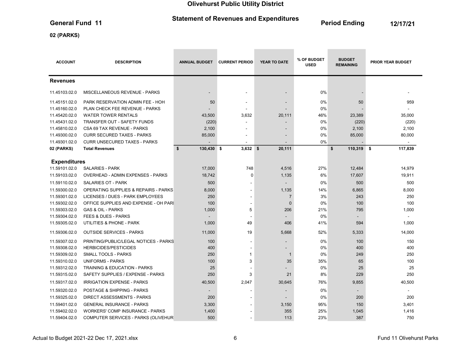# Statement of Revenues and Expenditures<br>
Period Ending 12/17/21<br>
2/17/21

**Contract Contract** 

**Contract Contract Contract** 

02 (PARKS)

| <b>ACCOUNT</b>                 | <b>DESCRIPTION</b>                                                        | <b>ANNUAL BUDGET</b> | <b>CURRENT PERIOD</b> | <b>YEAR TO DATE</b>           | % OF BUDGET<br><b>USED</b> | <b>BUDGET</b><br><b>REMAINING</b> | <b>PRIOR YEAR BUDGET</b> |
|--------------------------------|---------------------------------------------------------------------------|----------------------|-----------------------|-------------------------------|----------------------------|-----------------------------------|--------------------------|
| <b>Revenues</b>                |                                                                           |                      |                       |                               |                            |                                   |                          |
| 11.45103.02.0                  | <b>MISCELLANEOUS REVENUE - PARKS</b>                                      | $\blacksquare$       |                       |                               | 0%                         |                                   |                          |
| 11.45151.02.0                  | PARK RESERVATION ADMIN FEE - HOH                                          | 50                   |                       |                               | 0%                         | 50                                | 959                      |
| 11.45160.02.0                  | PLAN CHECK FEE REVENUE - PARKS                                            |                      |                       |                               | 0%                         |                                   |                          |
| 11.45420.02.0                  | <b>WATER TOWER RENTALS</b>                                                | 43,500               | 3,632                 | 20,111                        | 46%                        | 23,389                            | 35,000                   |
| 11.45431.02.0                  | TRANSFER OUT - SAFETY FUNDS                                               | (220)                |                       |                               | 0%                         | (220)                             | (220)                    |
| 11.45810.02.0                  | CSA 69 TAX REVENUE - PARKS                                                | 2,100                | $\blacksquare$        |                               | $0\%$                      | 2,100                             | 2,100                    |
| 11.49300.02.0                  | <b>CURR SECURED TAXES - PARKS</b>                                         | 85,000               |                       |                               | 0%                         | 85,000                            | 80,000                   |
| 11.49301.02.0                  | <b>CURR UNSECURED TAXES - PARKS</b>                                       |                      |                       |                               | 0%                         |                                   |                          |
| 02 (PARKS)                     | <b>Total Revenues</b>                                                     | \$<br>130,430 \$     | $3,632$ \$            | 20,111                        |                            | \$<br>110,319 \$                  | 117,839                  |
| <b>Expenditures</b>            |                                                                           |                      |                       |                               |                            |                                   |                          |
| 11.59101.02.0                  | <b>SALARIES - PARK</b>                                                    | 17,000               | 748                   | 4,516                         | 27%                        | 12,484                            | 14,979                   |
| 11.59103.02.0                  | <b>OVERHEAD - ADMIN EXPENSES - PARKS</b>                                  | 18,742               | $\Omega$              | 1,135                         | 6%                         | 17,607                            | 19,911                   |
| 11.59110.02.0                  | <b>SALARIES OT - PARK</b>                                                 | 500                  |                       | $\blacksquare$                | $0\%$                      | 500                               | 500                      |
|                                |                                                                           |                      |                       |                               |                            |                                   |                          |
| 11.59300.02.0                  | <b>OPERATING SUPPLIES &amp; REPAIRS - PARKS</b>                           | 8,000                |                       | 1,135                         | 14%                        | 6,865                             | 8,000                    |
| 11.59301.02.0<br>11.59302.02.0 | LICENSES / DUES - PARK EMPLOYEES<br>OFFICE SUPPLIES AND EXPENSE - OH PARI | 250<br>100           |                       | $\overline{7}$<br>$\mathbf 0$ | 3%<br>0%                   | 243<br>100                        | 250<br>100               |
| 11.59303.02.0                  | <b>GAS &amp; OIL - PARKS</b>                                              | 1,000                | 5                     | 206                           | 21%                        | 795                               | 1,000                    |
| 11.59304.02.0                  | <b>FEES &amp; DUES - PARKS</b>                                            |                      |                       |                               | 0%                         |                                   |                          |
| 11.59305.02.0                  | UTILITIES & PHONE - PARK                                                  | 1,000                | 49                    | 406                           | 41%                        | 594                               | 1,000                    |
| 11.59306.02.0                  | <b>OUTSIDE SERVICES - PARKS</b>                                           |                      | 19                    | 5,668                         | 52%                        |                                   |                          |
|                                |                                                                           | 11,000               |                       |                               |                            | 5,333                             | 14,000                   |
| 11.59307.02.0                  | PRINTING/PUBLIC/LEGAL NOTICES - PARKS                                     | 100                  |                       |                               | 0%                         | 100                               | 150                      |
| 11.59308.02.0                  | <b>HERBICIDES/PESTICIDES</b>                                              | 400                  |                       |                               | 0%                         | 400                               | 400                      |
| 11.59309.02.0                  | <b>SMALL TOOLS - PARKS</b>                                                | 250                  | $\mathbf{1}$          | $\overline{1}$                | 0%                         | 249                               | 250                      |
| 11.59310.02.0                  | <b>UNIFORMS - PARKS</b>                                                   | 100                  | 3                     | 35                            | 35%                        | 65                                | 100                      |
| 11.59312.02.0                  | TRAINING & EDUCATION - PARKS                                              | 25                   |                       |                               | 0%                         | 25                                | 25                       |
| 11.59315.02.0                  | SAFETY SUPPLIES / EXPENSE - PARKS                                         | 250                  | 3                     | 21                            | 8%                         | 229                               | 250                      |
| 11.59317.02.0                  | <b>IRRIGATION EXPENSE - PARKS</b>                                         | 40,500               | 2,047                 | 30,645                        | 76%                        | 9,855                             | 40,500                   |
| 11.59320.02.0                  | POSTAGE & SHIPPING - PARKS                                                |                      |                       |                               | 0%                         | $\overline{\phantom{a}}$          | $\overline{\phantom{a}}$ |
| 11.59325.02.0                  | <b>DIRECT ASSESSMENTS - PARKS</b>                                         | 200                  |                       |                               | 0%                         | 200                               | 200                      |
| 11.59401.02.0                  | <b>GENERAL INSURANCE - PARKS</b>                                          | 3,300                |                       | 3,150                         | 95%                        | 150                               | 3,401                    |
| 11.59402.02.0                  | <b>WORKERS' COMP INSURANCE - PARKS</b>                                    | 1,400                |                       | 355                           | 25%                        | 1,045                             | 1,416                    |
| 11.59404.02.0                  | COMPUTER SERVICES - PARKS (OLIVEHUR                                       | 500                  |                       | 113                           | 23%                        | 387                               | 750                      |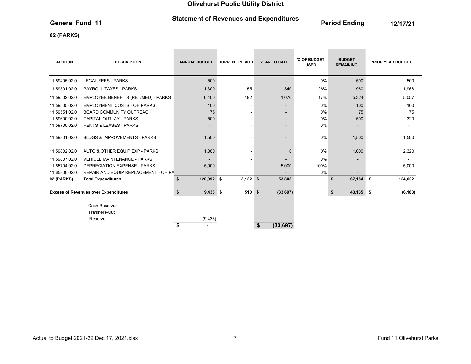# Statement of Revenues and Expenditures<br>
Period Ending 12/17/21<br>
2/17/21

**College** 

**Contract Contract** 

**Contract Contract Contract** 

### 02 (PARKS)

| <b>ACCOUNT</b>    | <b>DESCRIPTION</b>                          | <b>ANNUAL BUDGET</b>     | <b>CURRENT PERIOD</b>    | <b>YEAR TO DATE</b>      | % OF BUDGET<br><b>USED</b> | <b>BUDGET</b><br><b>REMAINING</b> | <b>PRIOR YEAR BUDGET</b> |
|-------------------|---------------------------------------------|--------------------------|--------------------------|--------------------------|----------------------------|-----------------------------------|--------------------------|
| 11.59405.02.0     | <b>LEGAL FEES - PARKS</b>                   | 500                      | $\overline{\phantom{a}}$ | $\overline{\phantom{0}}$ | 0%                         | 500                               | 500                      |
| 11.59501.02.0     | <b>PAYROLL TAXES - PARKS</b>                | 1,300                    | 55                       | 340                      | 26%                        | 960                               | 1,968                    |
| 11.59502.02.0     | EMPLOYEE BENEFITS (RET/MED) - PARKS         | 6,400                    | 192                      | 1,076                    | 17%                        | 5,324                             | 5,057                    |
| 11.59505.02.0     | <b>EMPLOYMENT COSTS - OH PARKS</b>          | 100                      | $\overline{\phantom{a}}$ | $\overline{\phantom{a}}$ | 0%                         | 100                               | 100                      |
| 11.59551.02.0     | <b>BOARD COMMUNITY OUTREACH</b>             | 75                       | $\overline{\phantom{a}}$ |                          | 0%                         | 75                                | 75                       |
| 11.59600.02.0     | <b>CAPITAL OUTLAY - PARKS</b>               | 500                      | $\overline{\phantom{a}}$ | $\overline{\phantom{a}}$ | 0%                         | 500                               | 320                      |
| 11.59700.02.0     | <b>RENTS &amp; LEASES - PARKS</b>           | $\blacksquare$           | ٠                        | $\blacksquare$           | 0%                         | $\overline{\phantom{a}}$          | ۰                        |
| 11.59801.02.0     | <b>BLDGS &amp; IMPROVEMENTS - PARKS</b>     | 1,500                    | -                        | $\overline{\phantom{0}}$ | 0%                         | 1,500                             | 1,500                    |
| 11.59802.02.0     | AUTO & OTHER EQUIP EXP - PARKS              | 1,000                    | $\overline{\phantom{a}}$ | $\mathbf 0$              | 0%                         | 1,000                             | 2,320                    |
| 11.59807.02.0     | <b>VEHICLE MAINTENANCE - PARKS</b>          |                          | $\overline{\phantom{a}}$ |                          | 0%                         | $\overline{\phantom{a}}$          |                          |
| 11.65704.02.0     | <b>DEPRECIATION EXPENSE - PARKS</b>         | 5,000                    | $\overline{\phantom{a}}$ | 5,000                    | 100%                       |                                   | 5,000                    |
| 11.65800.02.0     | REPAIR AND EQUIP REPLACEMENT - OH PA        | $\overline{\phantom{a}}$ | ٠                        | $\overline{\phantom{a}}$ | 0%                         |                                   | $\sim$                   |
| <b>02 (PARKS)</b> | <b>Total Expenditures</b>                   | 120,992 \$<br>\$         | $3,122$ \$               | 53,808                   |                            | \$<br>67,184 \$                   | 124,022                  |
|                   | <b>Excess of Revenues over Expenditures</b> | $9,438$ \$<br>\$         | 510S                     | (33, 697)                |                            | \$<br>43,135 \$                   | (6, 183)                 |
|                   | <b>Cash Reserves</b>                        |                          |                          |                          |                            |                                   |                          |
|                   | Transfers-Out                               |                          |                          |                          |                            |                                   |                          |
|                   | Reserve:                                    | (9, 438)                 |                          |                          |                            |                                   |                          |
|                   |                                             | \$                       |                          | \$<br>(33, 697)          |                            |                                   |                          |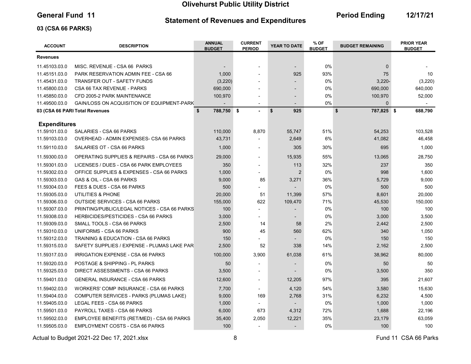### Statement of Revenues and Expenditures

General Fund 11 **Contains Containers and Economists Containers** Period Ending 12/17/21

### 03 (CSA 66 PARKS)

| <b>ACCOUNT</b>      | <b>DESCRIPTION</b>                             | <b>ANNUAL</b><br><b>BUDGET</b> | <b>CURRENT</b><br><b>PERIOD</b> | YEAR TO DATE             | % OF<br><b>BUDGET</b> | <b>BUDGET REMAINING</b> | <b>PRIOR YEAR</b><br><b>BUDGET</b> |
|---------------------|------------------------------------------------|--------------------------------|---------------------------------|--------------------------|-----------------------|-------------------------|------------------------------------|
| <b>Revenues</b>     |                                                |                                |                                 |                          |                       |                         |                                    |
| 11.45103.03.0       | MISC. REVENUE - CSA 66 PARKS                   |                                | $\overline{\phantom{a}}$        | $\overline{\phantom{0}}$ | 0%                    | $\mathbf{0}$            |                                    |
| 11.45151.03.0       | PARK RESERVATION ADMIN FEE - CSA 66            | 1,000                          |                                 | 925                      | 93%                   | 75                      | 10                                 |
| 11.45431.03.0       | TRANSFER OUT - SAFETY FUNDS                    | (3, 220)                       | $\overline{\phantom{a}}$        |                          | 0%                    | $3,220 -$               | (3, 220)                           |
| 11.45800.03.0       | CSA 66 TAX REVENUE - PARKS                     | 690,000                        |                                 |                          | 0%                    | 690,000                 | 640,000                            |
| 11.45850.03.0       | CFD 2005-2 PARK MAINTENANCE                    | 100,970                        |                                 | $\overline{a}$           | 0%                    | 100,970                 | 52,000                             |
| 11.49500.03.0       | GAIN/LOSS ON ACQUISITION OF EQUIPMENT-PARK     |                                |                                 |                          | 0%                    | $\Omega$                |                                    |
|                     | 03 (CSA 66 PARI Total Revenues                 | \$<br>788,750 \$               |                                 | \$<br>925                |                       | \$<br>787,825 \$        | 688,790                            |
| <b>Expenditures</b> |                                                |                                |                                 |                          |                       |                         |                                    |
| 11.59101.03.0       | <b>SALARIES - CSA 66 PARKS</b>                 | 110,000                        | 8,870                           | 55,747                   | 51%                   | 54,253                  | 103,528                            |
| 11.59103.03.0       | OVERHEAD - ADMIN EXPENSES- CSA 66 PARKS        | 43,731                         |                                 | 2,649                    | 6%                    | 41,082                  | 46,458                             |
| 11.59110.03.0       | SALARIES OT - CSA 66 PARKS                     | 1,000                          | $\overline{a}$                  | 305                      | 30%                   | 695                     | 1,000                              |
| 11.59300.03.0       | OPERATING SUPPLIES & REPAIRS - CSA 66 PARKS    | 29,000                         |                                 | 15,935                   | 55%                   | 13,065                  | 28,750                             |
| 11.59301.03.0       | LICENSES / DUES - CSA 66 PARK EMPLOYEES        | 350                            |                                 | 113                      | 32%                   | 237                     | 350                                |
| 11.59302.03.0       | OFFICE SUPPLIES & EXPENSES - CSA 66 PARKS      | 1,000                          |                                 | $\overline{2}$           | 0%                    | 998                     | 1,600                              |
| 11.59303.03.0       | GAS & OIL - CSA 66 PARKS                       | 9,000                          | 85                              | 3,271                    | 36%                   | 5,729                   | 9,000                              |
| 11.59304.03.0       | FEES & DUES - CSA 66 PARKS                     | 500                            |                                 |                          | 0%                    | 500                     | 500                                |
| 11.59305.03.0       | UTILITIES & PHONE                              | 20,000                         | 51                              | 11,399                   | 57%                   | 8,601                   | 20,000                             |
| 11.59306.03.0       | <b>OUTSIDE SERVICES - CSA 66 PARKS</b>         | 155,000                        | 622                             | 109,470                  | 71%                   | 45,530                  | 150,000                            |
| 11.59307.03.0       | PRINTING/PUBLIC/LEGAL NOTICES - CSA 66 PARKS   | 100                            |                                 |                          | 0%                    | 100                     | 100                                |
| 11.59308.03.0       | <b>HERBICIDES/PESTICIDES - CSA 66 PARKS</b>    | 3,000                          | $\blacksquare$                  |                          | 0%                    | 3,000                   | 3,500                              |
| 11.59309.03.0       | SMALL TOOLS - CSA 66 PARKS                     | 2,500                          | 14                              | 58                       | 2%                    | 2,442                   | 2,500                              |
| 11.59310.03.0       | UNIFORMS - CSA 66 PARKS                        | 900                            | 45                              | 560                      | 62%                   | 340                     | 1,050                              |
| 11.59312.03.0       | <b>TRAINING &amp; EDUCATION - CSA 66 PARKS</b> | 150                            |                                 |                          | 0%                    | 150                     | 150                                |
| 11.59315.03.0       | SAFETY SUPPLIES / EXPENSE - PLUMAS LAKE PAR    | 2,500                          | 52                              | 338                      | 14%                   | 2,162                   | 2,500                              |
| 11.59317.03.0       | IRRIGATION EXPENSE - CSA 66 PARKS              | 100,000                        | 3,900                           | 61,038                   | 61%                   | 38,962                  | 80,000                             |
| 11.59320.03.0       | POSTAGE & SHIPPING - PL PARKS                  | 50                             |                                 |                          | 0%                    | 50                      | 50                                 |
| 11.59325.03.0       | DIRECT ASSESSMENTS - CSA 66 PARKS              | 3,500                          | $\blacksquare$                  |                          | 0%                    | 3,500                   | 350                                |
| 11.59401.03.0       | <b>GENERAL INSURANCE - CSA 66 PARKS</b>        | 12,600                         | $\blacksquare$                  | 12,205                   | 97%                   | 395                     | 21,607                             |
| 11.59402.03.0       | <b>WORKERS' COMP INSURANCE - CSA 66 PARKS</b>  | 7,700                          | $\blacksquare$                  | 4,120                    | 54%                   | 3,580                   | 15,630                             |
| 11.59404.03.0       | COMPUTER SERVICES - PARKS (PLUMAS LAKE)        | 9,000                          | 169                             | 2,768                    | 31%                   | 6,232                   | 4,500                              |
| 11.59405.03.0       | LEGAL FEES - CSA 66 PARKS                      | 1,000                          |                                 | $\overline{\phantom{0}}$ | 0%                    | 1,000                   | 1,000                              |
| 11.59501.03.0       | PAYROLL TAXES - CSA 66 PARKS                   | 6,000                          | 673                             | 4,312                    | 72%                   | 1,688                   | 22,196                             |
| 11.59502.03.0       | EMPLOYEE BENEFITS (RET/MED) - CSA 66 PARKS     | 35,400                         | 2,050                           | 12,221                   | 35%                   | 23,179                  | 63,059                             |
| 11.59505.03.0       | <b>EMPLOYMENT COSTS - CSA 66 PARKS</b>         | 100                            |                                 |                          | 0%                    | 100                     | 100                                |

Actual to Budget 2021-22 Dec 17, 2021.xlsx 6 Actual to Budget 2021-22 Dec 17, 2021.xlsx 6 Actual to Budget 2021-22 Dec 17, 2021.xlsx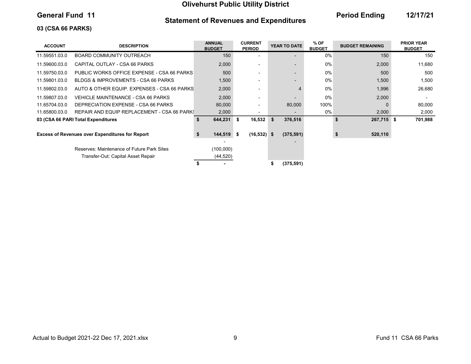### Statement of Revenues and Expenditures

General Fund 11 **Contains Containers and Economists Containers** Period Ending 12/17/21

### 03 (CSA 66 PARKS)

| <b>ACCOUNT</b> | <b>DESCRIPTION</b>                                     | <b>ANNUAL</b><br><b>BUDGET</b> | <b>CURRENT</b><br><b>PERIOD</b> | YEAR TO DATE  | % OF<br><b>BUDGET</b> | <b>BUDGET REMAINING</b> | <b>PRIOR YEAR</b><br><b>BUDGET</b> |
|----------------|--------------------------------------------------------|--------------------------------|---------------------------------|---------------|-----------------------|-------------------------|------------------------------------|
| 11.59551.03.0  | BOARD COMMUNITY OUTREACH                               | 150                            |                                 |               | $0\%$                 | 150                     | 150                                |
| 11.59600.03.0  | CAPITAL OUTLAY - CSA 66 PARKS                          | 2,000                          |                                 |               | $0\%$                 | 2,000                   | 11,680                             |
| 11.59750.03.0  | PUBLIC WORKS OFFICE EXPENSE - CSA 66 PARKS             | 500                            |                                 |               | $0\%$                 | 500                     | 500                                |
| 11.59801.03.0  | BLDGS & IMPROVEMENTS - CSA 66 PARKS                    | 1,500                          |                                 |               | $0\%$                 | 1,500                   | 1,500                              |
| 11.59802.03.0  | AUTO & OTHER EQUIP. EXPENSES - CSA 66 PARKS            | 2,000                          |                                 |               | 0%                    | 1,996                   | 26,680                             |
| 11.59807.03.0  | VEHICLE MAINTENANCE - CSA 66 PARKS                     | 2,000                          |                                 |               | $0\%$                 | 2,000                   |                                    |
| 11.65704.03.0  | DEPRECIATION EXPENSE - CSA 66 PARKS                    | 80,000                         | -                               | 80,000        | 100%                  |                         | 80,000                             |
| 11.65800.03.0  | REPAIR AND EQUIP REPLACEMENT - CSA 66 PARK!            | 2,000                          | $\overline{\phantom{0}}$        |               | 0%                    | 2,000                   | 2,000                              |
|                | 03 (CSA 66 PARI Total Expenditures                     | 644,231 \$<br>\$               | 16,532                          | \$<br>376,516 |                       | 267,715 \$<br>\$        | 701,988                            |
|                | <b>Excess of Revenues over Expenditures for Report</b> | \$<br>$144,519$ \$             | $(16, 532)$ \$                  | (375, 591)    |                       | 520,110                 |                                    |
|                | Reserves: Maintenance of Future Park Sites             | (100,000)                      |                                 |               |                       |                         |                                    |
|                | Transfer-Out: Capital Asset Repair                     | (44, 520)                      |                                 |               |                       |                         |                                    |
|                |                                                        |                                |                                 | (375, 591)    |                       |                         |                                    |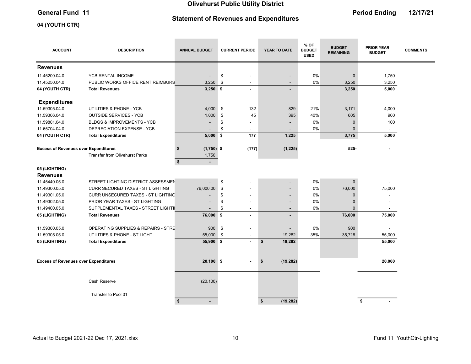# Statement of Revenues and Expenditures

the control of the control of

the control of the control of the

# General Fund 11 **Contract Contract Contract Contract Contract Contract Contract Contract Contract Contract Contract Contract Contract Contract Contract Contract Contract Contract Contract Contract Contract Contract Contrac**

the control of the control of

### 04 (YOUTH CTR)

| <b>ACCOUNT</b>                              | <b>DESCRIPTION</b>                        | <b>ANNUAL BUDGET</b>     | <b>CURRENT PERIOD</b>          | YEAR TO DATE             | % OF<br><b>BUDGET</b><br><b>USED</b> | <b>BUDGET</b><br><b>REMAINING</b> | <b>PRIOR YEAR</b><br><b>BUDGET</b> | <b>COMMENTS</b> |
|---------------------------------------------|-------------------------------------------|--------------------------|--------------------------------|--------------------------|--------------------------------------|-----------------------------------|------------------------------------|-----------------|
| <b>Revenues</b>                             |                                           |                          |                                |                          |                                      |                                   |                                    |                 |
| 11.45200.04.0                               | YCB RENTAL INCOME                         | $\overline{\phantom{a}}$ | \$<br>$\blacksquare$           |                          | 0%                                   | $\mathbf 0$                       | 1,750                              |                 |
| 11.45250.04.0                               | PUBLIC WORKS OFFICE RENT REIMBURS         | 3,250                    | \$<br>$\overline{\phantom{a}}$ | $\overline{\phantom{0}}$ | 0%                                   | 3,250                             | 3,250                              |                 |
| 04 (YOUTH CTR)                              | <b>Total Revenues</b>                     | $3,250$ \$               | $\blacksquare$                 | $\blacksquare$           |                                      | 3,250                             | 5,000                              |                 |
| <b>Expenditures</b>                         |                                           |                          |                                |                          |                                      |                                   |                                    |                 |
| 11.59305.04.0                               | UTILITIES & PHONE - YCB                   | 4,000                    | \$<br>132                      | 829                      | 21%                                  | 3,171                             | 4,000                              |                 |
| 11.59306.04.0                               | <b>OUTSIDE SERVICES - YCB</b>             | 1,000                    | \$<br>45                       | 395                      | 40%                                  | 605                               | 900                                |                 |
| 11.59801.04.0                               | <b>BLDGS &amp; IMPROVEMENTS - YCB</b>     |                          | \$                             |                          | 0%                                   | $\bf 0$                           | 100                                |                 |
| 11.65704.04.0                               | DEPRECIATION EXPENSE - YCB                |                          | \$<br>۰                        |                          | 0%                                   | $\Omega$                          | $\blacksquare$                     |                 |
| 04 (YOUTH CTR)                              | <b>Total Expenditures</b>                 | $5,000$ \$               | 177                            | 1,225                    |                                      | 3,775                             | 5,000                              |                 |
| <b>Excess of Revenues over Expenditures</b> |                                           | $(1,750)$ \$<br>\$       | (177)                          | (1, 225)                 |                                      | $525 -$                           |                                    |                 |
|                                             | <b>Transfer from Olivehurst Parks</b>     | 1,750                    |                                |                          |                                      |                                   |                                    |                 |
|                                             |                                           | \$<br>$\blacksquare$     |                                |                          |                                      |                                   |                                    |                 |
| 05 (LIGHTING)                               |                                           |                          |                                |                          |                                      |                                   |                                    |                 |
| <b>Revenues</b>                             |                                           |                          |                                |                          |                                      |                                   |                                    |                 |
| 11.45440.05.0                               | STREET LIGHTING DISTRICT ASSESSMEN        |                          | \$                             |                          | 0%                                   | $\mathbf 0$                       |                                    |                 |
| 11.49300.05.0                               | <b>CURR SECURED TAXES - ST LIGHTING</b>   | 76,000.00                | \$                             |                          | 0%                                   | 76,000                            | 75,000                             |                 |
| 11.49301.05.0                               | <b>CURR UNSECURED TAXES - ST LIGHTING</b> |                          | \$<br>$\blacksquare$           |                          | 0%                                   | $\mathbf 0$                       |                                    |                 |
| 11.49302.05.0                               | PRIOR YEAR TAXES - ST LIGHTING            |                          | \$<br>٠                        | $\overline{\phantom{0}}$ | 0%                                   | $\Omega$                          |                                    |                 |
| 11.49400.05.0                               | SUPPLEMENTAL TAXES - STREET LIGHTII       |                          | \$<br>$\blacksquare$           | $\overline{\phantom{0}}$ | 0%                                   | $\Omega$                          |                                    |                 |
| 05 (LIGHTING)                               | <b>Total Revenues</b>                     | 76,000 \$                | $\blacksquare$                 | ۰                        |                                      | 76,000                            | 75,000                             |                 |
| 11.59300.05.0                               | OPERATING SUPPLIES & REPAIRS - STRE       | 900 \$                   | -                              |                          | 0%                                   | 900                               |                                    |                 |
| 11.59305.05.0                               | UTILITIES & PHONE - ST LIGHT              | 55,000 \$                | $\blacksquare$                 | 19,282                   | 35%                                  | 35,718                            | 55,000                             |                 |
| 05 (LIGHTING)                               | <b>Total Expenditures</b>                 | 55,900 \$                | $\sim$                         | \$<br>19,282             |                                      |                                   | 55,000                             |                 |
|                                             |                                           |                          |                                |                          |                                      |                                   |                                    |                 |
| <b>Excess of Revenues over Expenditures</b> |                                           | $20,100$ \$              |                                | (19, 282)<br>\$          |                                      |                                   | 20,000                             |                 |
|                                             |                                           |                          |                                |                          |                                      |                                   |                                    |                 |
|                                             | Cash Reserve                              | (20, 100)                |                                |                          |                                      |                                   |                                    |                 |
|                                             | Transfer to Pool 01                       |                          |                                |                          |                                      |                                   |                                    |                 |
|                                             |                                           | \$<br>$\blacksquare$     |                                | \$<br>(19, 282)          |                                      |                                   | \$                                 |                 |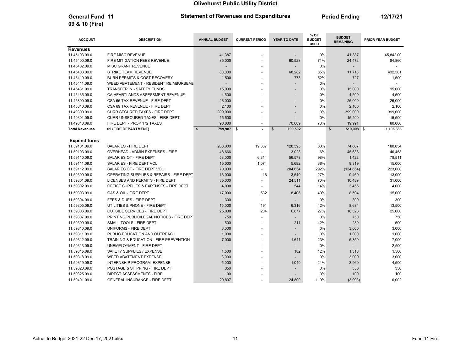General Fund 11 **Period Ending 12/17/21** Statement of Revenues and Expenditures **Period Ending 12/17/21** 

| <b>ACCOUNT</b>        | <b>DESCRIPTION</b>                        | <b>ANNUAL BUDGET</b> | <b>CURRENT PERIOD</b>    | YEAR TO DATE                         | % OF<br><b>BUDGET</b><br><b>USED</b> | <b>BUDGET</b><br><b>REMAINING</b> | PRIOR YEAR BUDGET |
|-----------------------|-------------------------------------------|----------------------|--------------------------|--------------------------------------|--------------------------------------|-----------------------------------|-------------------|
| <b>Revenues</b>       |                                           |                      |                          |                                      |                                      |                                   |                   |
| 11.45103.09.0         | FIRE MISC REVENUE                         | 41,387               | $\overline{\phantom{a}}$ |                                      | 0%                                   | 41,387                            | 45,842.00         |
| 11.45400.09.0         | FIRE MITIGATION FEES REVENUE              | 85,000               |                          | 60,528                               | 71%                                  | 24,472                            | 84,860            |
| 11.45402.09.0         | MISC GRANT REVENUE                        |                      | ÷                        |                                      | 0%                                   |                                   |                   |
| 11.45403.09.0         | <b>STRIKE TEAM REVENUE</b>                | 80,000               | ÷.                       | 68,282                               | 85%                                  | 11,718                            | 432,581           |
| 11.45410.09.0         | BURN PERMITS & COST RECOVERY              | 1,500                | ÷,                       | 773                                  | 52%                                  | 727                               | 1,500             |
| 11.45411.09.0         | WEED ABATEMENT - RESIDENT REIMBURSEME     |                      |                          |                                      | 0%                                   |                                   |                   |
| 11.45431.09.0         | TRANSFER IN - SAFETY FUNDS                | 15,000               |                          |                                      | 0%                                   | 15,000                            | 15.000            |
| 11.45435.09.0         | CA HEARTLANDS ASSESSMENT REVENUE          | 4,500                | ä,                       |                                      | 0%                                   | 4,500                             | 4,500             |
| 11.45800.09.0         | CSA 66 TAX REVENUE - FIRE DEPT            | 26,000               |                          |                                      | 0%                                   | 26,000                            | 26,000            |
| 11.45810.09.0         | CSA 69 TAX REVENUE - FIRE DEPT            | 2,100                | ÷.                       |                                      | 0%                                   | 2,100                             | 2,100             |
| 11.49300.09.0         | CURR SECURED TAXES - FIRE DEPT            | 399,000              | ٠                        |                                      | 0%                                   | 399,000                           | 399,000           |
| 11.49301.09.0         | CURR UNSECURED TAXES - FIRE DEPT          | 15,500               | $\overline{\phantom{a}}$ |                                      | 0%                                   | 15,500                            | 15,500            |
| 11.49310.09.0         | FIRE DEPT - PROP 172 TAXES                | 90,000               | $\overline{\phantom{a}}$ | 70,009                               | 78%                                  | 19,991                            | 80,000            |
| <b>Total Revenues</b> | 09 (FIRE DEPARTMENT)                      | \$<br>759,987 \$     | $\overline{a}$           | $\boldsymbol{\mathsf{s}}$<br>199,592 |                                      | \$<br>519,008 \$                  | 1,106,883         |
|                       |                                           |                      |                          |                                      |                                      |                                   |                   |
| <b>Expenditures</b>   |                                           |                      |                          |                                      |                                      |                                   |                   |
| 11.59101.09.0         | SALARIES - FIRE DEPT                      | 203,000              | 19,387                   | 128,393                              | 63%                                  | 74,607                            | 180,854           |
| 11.59103.09.0         | OVERHEAD - ADMIN EXPENSES - FIRE          | 48,666               |                          | 3,028                                | 6%                                   | 45,638                            | 46,458            |
| 11.59110.09.0         | SALARIES OT - FIRE DEPT                   | 58,000               | 6,314                    | 56,578                               | 98%                                  | 1,422                             | 78,511            |
| 11.59111.09.0         | SALARIES - FIRE DEPT VOL                  | 15,000               | 1,074                    | 5,682                                | 38%                                  | 9,319                             | 15,000            |
| 11.59112.09.0         | SALARIES OT - FIRE DEPT VOL               | 70,000               | L,                       | 204,654                              | 292%                                 | (134, 654)                        | 223,000           |
| 11.59300.09.0         | OPERATING SUPPLIES & REPAIRS - FIRE DEPT  | 13,000               | 16                       | 3,540                                | 27%                                  | 9,460                             | 13,000            |
| 11.59301.09.0         | LICENSES AND PERMITS - FIRE DEPT          | 35,000               |                          | 24,511                               | 70%                                  | 10,489                            | 31,000            |
| 11.59302.09.0         | OFFICE SUPPLIES & EXPENSES - FIRE DEPT    | 4,000                | ÷.                       | 544                                  | 14%                                  | 3,456                             | 4,000             |
| 11.59303.09.0         | GAS & OIL - FIRE DEPT                     | 17,000               | 532                      | 8,406                                | 49%                                  | 8,594                             | 15,000            |
| 11.59304.09.0         | FEES & DUES - FIRE DEPT                   | 300                  | ÷                        |                                      | 0%                                   | 300                               | 300               |
| 11.59305.09.0         | UTILITIES & PHONE - FIRE DEPT             | 15,000               | 191                      | 6,316                                | 42%                                  | 8,684                             | 13,500            |
| 11.59306.09.0         | <b>OUTSIDE SERVICES - FIRE DEPT</b>       | 25,000               | 204                      | 6,677                                | 27%                                  | 18,323                            | 25,000            |
| 11.59307.09.0         | PRINTING/PUBLIC/LEGAL NOTICES - FIRE DEPT | 750                  | ÷,                       |                                      | 0%                                   | 750                               | 750               |
| 11.59309.09.0         | SMALL TOOLS - FIRE DEPT                   | 500                  | ÷,                       | 211                                  | 42%                                  | 289                               | 500               |
| 11.59310.09.0         | UNIFORMS - FIRE DEPT                      | 3,000                |                          |                                      | 0%                                   | 3,000                             | 3,000             |
| 11.59311.09.0         | PUBLIC EDUCATION AND OUTREACH             | 1,000                | ÷.                       |                                      | 0%                                   | 1,000                             | 1,000             |
| 11.59312.09.0         | TRAINING & EDUCATION - FIRE PREVENTION    | 7,000                | ÷.                       | 1,641                                | 23%                                  | 5,359                             | 7,000             |
| 11.59313.09.0         | UNEMPLOYMENT - FIRE DEPT                  |                      | $\overline{\phantom{a}}$ |                                      | 0%                                   |                                   | 2,500             |
| 11.59315.09.0         | SAFETY SUPPLIES / EXPENSE                 | 1,500                | $\ddot{\phantom{1}}$     | 182                                  | 12%                                  | 1,318                             | 1,500             |
| 11.59318.09.0         | WEED ABATEMENT EXPENSE                    | 3,000                |                          |                                      | 0%                                   | 3,000                             | 3,000             |
| 11.59319.09.0         | INTERNSHIP PROGRAM EXPENSE                | 5,000                | ä,                       | 1,040                                | 21%                                  | 3,960                             | 4,500             |
| 11.59320.09.0         | POSTAGE & SHIPPING - FIRE DEPT            | 350                  |                          |                                      | 0%                                   | 350                               | 350               |
| 11.59325.09.0         | <b>DIRECT ASSESSMENTS - FIRE</b>          | 100                  |                          |                                      | 0%                                   | 100                               | 100               |
| 11.59401.09.0         | <b>GENERAL INSURANCE - FIRE DEPT</b>      | 20,807               |                          | 24,800                               | 119%                                 | (3,993)                           | 6.002             |

09 & 10 (Fire)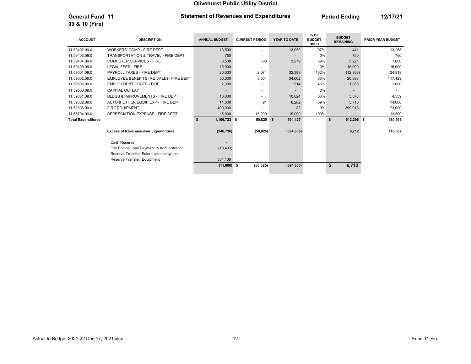General Fund 11 **Period Ending 12/17/21** Statement of Revenues and Expenditures **Period Ending 12/17/21** 

09 & 10 (Fire)

| <b>ACCOUNT</b>            | <b>DESCRIPTION</b>                          | <b>ANNUAL BUDGET</b> | <b>CURRENT PERIOD</b>    | YEAR TO DATE  | % OF<br><b>BUDGET</b><br><b>USED</b> | <b>BUDGET</b><br><b>REMAINING</b> | <b>PRIOR YEAR BUDGET</b> |
|---------------------------|---------------------------------------------|----------------------|--------------------------|---------------|--------------------------------------|-----------------------------------|--------------------------|
| 11.59402.09.0             | <b>WORKERS' COMP - FIRE DEPT</b>            | 13,500               | $\overline{\phantom{a}}$ | 13,059        | 97%                                  | 441                               | 13,255                   |
| 11.59403.09.0             | TRANSPORTATION & TRAVEL - FIRE DEPT         | 750                  |                          |               | 0%                                   | 750                               | 750                      |
| 11.59404.09.0             | <b>COMPUTER SERVICES - FIRE</b>             | 8,500                | 338                      | 3,279         | 39%                                  | 5,221                             | 7,000                    |
| 11.59405.09.0             | <b>LEGAL FEES - FIRE</b>                    | 15,000               |                          |               | 0%                                   | 15,000                            | 15,000                   |
| 11.59501.09.0             | PAYROLL TAXES - FIRE DEPT                   | 20,000               | 2,074                    | 32,383        | 162%                                 | (12, 383)                         | 24,518                   |
| 11.59502.09.0             | EMPLOYEE BENEFITS (RET/MED) - FIRE DEPT     | 55,000               | 5,604                    | 34,602        | 63%                                  | 20,398                            | 117,129                  |
| 11.59505.09.0             | <b>EMPLOYMENT COSTS - FIRE</b>              | 2,000                |                          | 914           | 46%                                  | 1,086                             | 2,000                    |
| 11.59600.09.0             | <b>CAPITAL OUTLAY</b>                       |                      | $\overline{\phantom{a}}$ |               | 0%                                   |                                   |                          |
| 11.59801.09.0             | BLDGS & IMPROVEMENTS - FIRE DEPT            | 16,000               |                          | 10,624        | 66%                                  | 5,376                             | 4,539                    |
| 11.59802.09.0             | AUTO & OTHER EQUIP EXP - FIRE DEPT          | 14,000               | 91                       | 8,282         | 59%                                  | 5,718                             | 14,000                   |
| 11.59806.09.0             | <b>FIRE EQUIPMENT</b>                       | 400,000              |                          | 82            | 0%                                   | 399,918                           | 73,000                   |
| 11.65704.09.0             | DEPRECIATION EXPENSE - FIRE DEPT            | 15,000               | 15,000                   | 15,000        | 100%                                 | $\overline{\phantom{a}}$          | 13,500                   |
| <b>Total Expenditures</b> |                                             | 1,106,723 \$<br>Ŝ.   | 50,825                   | 594,427<br>S. |                                      | 512,296 \$<br>\$                  | 960,516                  |
|                           | <b>Excess of Revenues over Expenditures</b> | (346, 736)           | (50, 825)                | (394, 835)    |                                      | 6,712                             | 146,367                  |
|                           | Cash Reserve                                |                      |                          |               |                                      |                                   |                          |
|                           | Fire Engine Loan Payment to Administration  | (18, 403)            |                          |               |                                      |                                   |                          |
|                           | Reserve Transfer: Future Unemployment       |                      |                          |               |                                      |                                   |                          |
|                           | Reserve Transfer: Equipment                 | 354,138              |                          |               |                                      |                                   |                          |
|                           |                                             | $(11,000)$ \$        | (50, 825)                | (394, 835)    |                                      | \$<br>6,712                       |                          |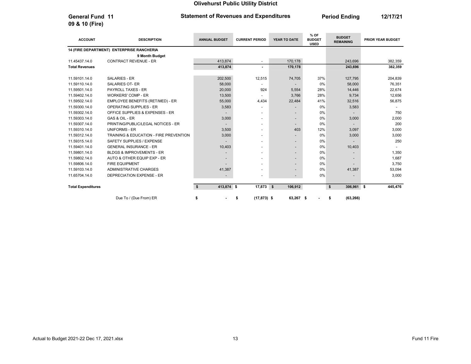General Fund 11 **Period Ending 12/17/21** Statement of Revenues and Expenditures **Period Ending 12/17/21** 

09 & 10 (Fire)

| <b>ACCOUNT</b>            | <b>DESCRIPTION</b>                        | <b>ANNUAL BUDGET</b> | <b>CURRENT PERIOD</b>    | YEAR TO DATE  | % OF<br><b>BUDGET</b><br><b>USED</b> | <b>BUDGET</b><br><b>REMAINING</b> | PRIOR YEAR BUDGET |
|---------------------------|-------------------------------------------|----------------------|--------------------------|---------------|--------------------------------------|-----------------------------------|-------------------|
|                           | 14 (FIRE DEPARTMENT) ENTERPRISE RANCHERIA |                      |                          |               |                                      |                                   |                   |
|                           | 9 Month Budget                            |                      |                          |               |                                      |                                   |                   |
| 11.45437.14.0             | <b>CONTRACT REVENUE - ER</b>              | 413,874              |                          | 170,178       |                                      | 243,696                           | 382,359           |
| <b>Total Revenues</b>     |                                           | 413,874              |                          | 170,178       |                                      | 243,696                           | 382,359           |
|                           |                                           |                      |                          |               |                                      |                                   |                   |
| 11.59101.14.0             | <b>SALARIES - ER</b>                      | 202,500              | 12,515                   | 74,705        | 37%                                  | 127,795                           | 204,839           |
| 11.59110.14.0             | <b>SALARIES OT- ER</b>                    | 58,000               |                          |               | 0%                                   | 58,000                            | 76,351            |
| 11.59501.14.0             | PAYROLL TAXES - ER                        | 20,000               | 924                      | 5,554         | 28%                                  | 14,446                            | 22,674            |
| 11.59402.14.0             | <b>WORKERS' COMP - ER</b>                 | 13,500               |                          | 3,766         | 28%                                  | 9,734                             | 12,656            |
| 11.59502.14.0             | EMPLOYEE BENEFITS (RET/MED) - ER          | 55,000               | 4,434                    | 22,484        | 41%                                  | 32,516                            | 56,875            |
| 11.59300.14.0             | <b>OPERATING SUPPLIES - ER</b>            | 3,583                |                          |               | 0%                                   | 3,583                             |                   |
| 11.59302.14.0             | OFFICE SUPPLIES & EXPENSES - ER           |                      |                          |               | 0%                                   |                                   | 750               |
| 11.59303.14.0             | GAS & OIL - ER                            | 3,000                | $\overline{\phantom{0}}$ |               | 0%                                   | 3,000                             | 2,000             |
| 11.59307.14.0             | PRINTING/PUBLIC/LEGAL NOTICES - ER        |                      |                          |               | 0%                                   |                                   | 200               |
| 11.59310.14.0             | <b>UNIFORMS - ER</b>                      | 3,500                |                          | 403           | 12%                                  | 3,097                             | 3,000             |
| 11.59312.14.0             | TRAINING & EDUCATION - FIRE PREVENTION    | 3,000                |                          |               | 0%                                   | 3,000                             | 3,000             |
| 11.59315.14.0             | SAFETY SUPPLIES / EXPENSE                 |                      |                          |               | 0%                                   |                                   | 250               |
| 11.59401.14.0             | <b>GENERAL INSURANCE - ER</b>             | 10,403               |                          |               | 0%                                   | 10,403                            |                   |
| 11.59801.14.0             | <b>BLDGS &amp; IMPROVEMENTS - ER</b>      |                      |                          |               | 0%                                   |                                   | 1.350             |
| 11.59802.14.0             | AUTO & OTHER EQUIP EXP - ER               |                      |                          |               | 0%                                   |                                   | 1.687             |
| 11.59806.14.0             | <b>FIRE EQUIPMENT</b>                     |                      |                          |               | 0%                                   |                                   | 3,750             |
| 11.59103.14.0             | ADMINISTRATIVE CHARGES                    | 41,387               |                          |               | 0%                                   | 41,387                            | 53,094            |
| 11.65704.14.0             | DEPRECIATION EXPENSE - ER                 |                      |                          |               | 0%                                   |                                   | 3,000             |
| <b>Total Expenditures</b> |                                           | 413,874 \$<br>S.     | 17,873                   | \$<br>106,912 |                                      | 306,961 \$<br>\$                  | 445,476           |
|                           | Due To / (Due From) ER                    | \$                   | $(17, 873)$ \$<br>\$     | 63,267 \$     |                                      | (63, 266)<br>\$                   |                   |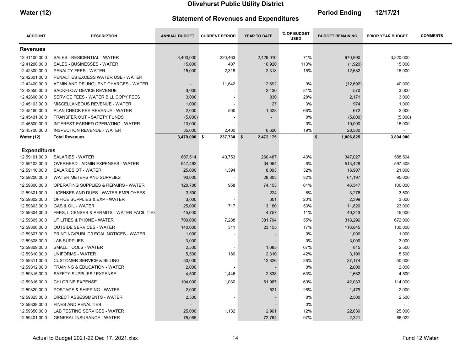m.

m.

| <b>Water (12)</b> | <b>Statement of Revenues and Expenditures</b> | <b>Period Ending</b> | 12/17/21 |
|-------------------|-----------------------------------------------|----------------------|----------|
|                   |                                               |                      |          |

**COL** 

| <b>ACCOUNT</b>      | <b>DESCRIPTION</b>                              | <b>ANNUAL BUDGET</b> | <b>CURRENT PERIOD</b> | YEAR TO DATE | % OF BUDGET<br><b>USED</b> | <b>BUDGET REMAINING</b> | <b>PRIOR YEAR BUDGET</b> | <b>COMMENTS</b> |
|---------------------|-------------------------------------------------|----------------------|-----------------------|--------------|----------------------------|-------------------------|--------------------------|-----------------|
| <b>Revenues</b>     |                                                 |                      |                       |              |                            |                         |                          |                 |
| 12.41100.00.0       | SALES - RESIDENTIAL - WATER                     | 3,400,000            | 220,463               | 2,429,010    | 71%                        | 970,990                 | 3,820,000                |                 |
| 12.41200.00.0       | <b>SALES - BUSINESSES - WATER</b>               | 15,000               | 407                   | 16,920       | 113%                       | (1,920)                 | 15,000                   |                 |
| 12.42300.00.0       | PENALTY FEES - WATER                            | 15,000               | 2,318                 | 2,318        | 15%                        | 12,682                  | 15,000                   |                 |
| 12.42301.00.0       | PENALTIES EXCESS WATER USE - WATER              |                      |                       |              |                            |                         |                          |                 |
| 12.42400.00.0       | ADMIN AND DELINQUENT CHARGES - WATER            |                      | 11,642                | 12,692       | 0%                         | (12, 692)               | 40,000                   |                 |
| 12.42550.00.0       | <b>BACKFLOW DEVICE REVENUE</b>                  | 3,000                |                       | 2,430        | 81%                        | 570                     | 3,000                    |                 |
| 12.42600.00.0       | SERVICE FEES - WATER BILL COPY FEES             | 3,000                |                       | 830          | 28%                        | 2,171                   | 3,000                    |                 |
| 12.45103.00.0       | MISCELLANEOUS REVENUE - WATER                   | 1,000                |                       | 27           | 3%                         | 974                     | 1,000                    |                 |
| 12.45160.00.0       | PLAN CHECK FEE REVENUE - WATER                  | 2,000                | 500                   | 1,328        | 66%                        | 672                     | 2,000                    |                 |
| 12.45431.00.0       | TRANSFER OUT - SAFETY FUNDS                     | (5,000)              |                       |              | 0%                         | (5,000)                 | (5,000)                  |                 |
| 12.45500.00.0       | INTEREST EARNED OPERATING - WATER               | 10,000               |                       |              | 0%                         | 10,000                  | 15,000                   |                 |
| 12.45700.00.0       | <b>INSPECTION REVENUE - WATER</b>               | 35,000               | 2,400                 | 6,620        | 19%                        | 28,380                  |                          |                 |
| <b>Water (12)</b>   | <b>Total Revenues</b>                           | $3,479,000$ \$       | 237,730 \$            | 2,472,175    |                            | \$<br>1,006,825         | 3,894,000                |                 |
| <b>Expenditures</b> |                                                 |                      |                       |              |                            |                         |                          |                 |
| 12.59101.00.0       | <b>SALARIES - WATER</b>                         | 607,514              | 40,753                | 260,487      | 43%                        | 347,027                 | 588,594                  |                 |
| 12.59103.00.0       | OVERHEAD - ADMIN EXPENSES - WATER               | 547,492              |                       | 34,064       | 6%                         | 513,428                 | 597,308                  |                 |
| 12.59110.00.0       | SALARIES OT - WATER                             | 25,000               | 1,394                 | 8,093        | 32%                        | 16,907                  | 21,000                   |                 |
| 12.59200.00.0       | WATER METERS AND SUPPLIES                       | 90,000               |                       | 28,803       | 32%                        | 61,197                  | 95,000                   |                 |
| 12.59300.00.0       | <b>OPERATING SUPPLIES &amp; REPAIRS - WATER</b> | 120,700              | 958                   | 74,153       | 61%                        | 46,547                  | 100,000                  |                 |
| 12.59301.00.0       | LICENSES AND DUES - WATER EMPLOYEES             | 3,500                |                       | 224          | 6%                         | 3,276                   | 3,500                    |                 |
| 12.59302.00.0       | OFFICE SUPPLIES & EXP - WATER                   | 3,000                |                       | 601          | 20%                        | 2,399                   | 3,000                    |                 |
| 12.59303.00.0       | <b>GAS &amp; OIL - WATER</b>                    | 25,000               | 717                   | 13,180       | 53%                        | 11,820                  | 23,000                   |                 |
| 12.59304.00.0       | FEES, LICENSES & PERMITS - WATER FACILITIES     | 45,000               |                       | 4,757        | 11%                        | 40,243                  | 45,000                   |                 |
| 12.59305.00.0       | UTILITIES & PHONE - WATER                       | 700,000              | 7,288                 | 381,704      | 55%                        | 318,296                 | 672,000                  |                 |
| 12.59306.00.0       | <b>OUTSIDE SERVICES - WATER</b>                 | 140,000              | 311                   | 23,155       | 17%                        | 116,845                 | 130,000                  |                 |
| 12.59307.00.0       | PRINTING/PUBLIC/LEGAL NOTICES - WATER           | 1,000                |                       |              | 0%                         | 1,000                   | 1,000                    |                 |
| 12.59308.00.0       | <b>LAB SUPPLIES</b>                             | 3,000                |                       |              | 0%                         | 3,000                   | 3,000                    |                 |
| 12.59309.00.0       | SMALL TOOLS - WATER                             | 2,500                |                       | 1,685        | 67%                        | 815                     | 2,500                    |                 |
| 12.59310.00.0       | <b>UNIFORMS - WATER</b>                         | 5,500                | 189                   | 2,310        | 42%                        | 3,190                   | 5,500                    |                 |
| 12.59311.00.0       | <b>CUSTOMER SERVICE &amp; BILLING</b>           | 50,000               |                       | 12,826       | 26%                        | 37,174                  | 50,000                   |                 |
| 12.59312.00.0       | <b>TRAINING &amp; EDUCATION - WATER</b>         | 2,000                |                       |              | 0%                         | 2,000                   | 2,000                    |                 |
| 12.59315.00.0       | SAFETY SUPPLIES / EXPENSE                       | 4,500                | 1,446                 | 2,838        | 63%                        | 1,662                   | 4,500                    |                 |
| 12.59316.00.0       | <b>CHLORINE EXPENSE</b>                         | 104,000              | 1,030                 | 61,967       | 60%                        | 42,033                  | 114,000                  |                 |
| 12.59320.00.0       | POSTAGE & SHIPPING - WATER                      | 2,000                |                       | 521          | 26%                        | 1,479                   | 2,000                    |                 |
| 12.59325.00.0       | <b>DIRECT ASSESSMENTS - WATER</b>               | 2,500                |                       |              | 0%                         | 2,500                   | 2,500                    |                 |
| 12.59339.00.0       | <b>FINES AND PENALTIES</b>                      |                      |                       |              | 0%                         |                         |                          |                 |
| 12.59350.00.0       | LAB TESTING SERVICES - WATER                    | 25,000               | 1,132                 | 2,961        | 12%                        | 22,039                  | 25,000                   |                 |
| 12.59401.00.0       | <b>GENERAL INSURANCE - WATER</b>                | 75,085               |                       | 72,764       | 97%                        | 2,321                   | 66,022                   |                 |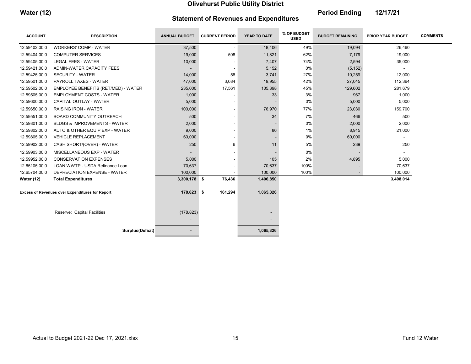Water (12) **Period Ending** 12/17/21

**COL** 

# Statement of Revenues and Expenditures

**Contract Contract** 

**Contract Contract** 

**College** 

| <b>ACCOUNT</b>              | <b>DESCRIPTION</b>                                     | <b>ANNUAL BUDGET</b>     | <b>CURRENT PERIOD</b>    | YEAR TO DATE             | % OF BUDGET<br><b>USED</b> | <b>BUDGET REMAINING</b> | <b>PRIOR YEAR BUDGET</b> | <b>COMMENTS</b> |
|-----------------------------|--------------------------------------------------------|--------------------------|--------------------------|--------------------------|----------------------------|-------------------------|--------------------------|-----------------|
| 12.59402.00.0               | <b>WORKERS' COMP - WATER</b>                           | 37,500                   | $\overline{\phantom{a}}$ | 18,406                   | 49%                        | 19,094                  | 26,460                   |                 |
| 12.59404.00.0               | <b>COMPUTER SERVICES</b>                               | 19,000                   | 508                      | 11,821                   | 62%                        | 7,179                   | 19,000                   |                 |
| 12.59405.00.0               | <b>LEGAL FEES - WATER</b>                              | 10,000                   |                          | 7,407                    | 74%                        | 2,594                   | 35,000                   |                 |
| 12.59421.00.0               | ADMIN-WATER CAPACITY FEES                              | $\overline{\phantom{a}}$ |                          | 5,152                    | 0%                         | (5, 152)                |                          |                 |
| 12.59425.00.0               | <b>SECURITY - WATER</b>                                | 14,000                   | 58                       | 3,741                    | 27%                        | 10,259                  | 12,000                   |                 |
| 12.59501.00.0               | PAYROLL TAXES - WATER                                  | 47,000                   | 3,084                    | 19,955                   | 42%                        | 27,045                  | 112,364                  |                 |
| 12.59502.00.0               | EMPLOYEE BENEFITS (RET/MED) - WATER                    | 235,000                  | 17,561                   | 105,398                  | 45%                        | 129,602                 | 281,679                  |                 |
| 12.59505.00.0               | <b>EMPLOYMENT COSTS - WATER</b>                        | 1,000                    |                          | 33                       | 3%                         | 967                     | 1,000                    |                 |
| 12.59600.00.0               | CAPITAL OUTLAY - WATER                                 | 5,000                    |                          |                          | 0%                         | 5,000                   | 5,000                    |                 |
| 12.59650.00.0               | <b>RAISING IRON - WATER</b>                            | 100,000                  | $\overline{\phantom{a}}$ | 76,970                   | 77%                        | 23,030                  | 159,700                  |                 |
| 12.59551.00.0               | BOARD COMMUNITY OUTREACH                               | 500                      |                          | 34                       | 7%                         | 466                     | 500                      |                 |
| 12.59801.00.0               | <b>BLDGS &amp; IMPROVEMENTS - WATER</b>                | 2,000                    | $\overline{\phantom{a}}$ |                          | $0\%$                      | 2,000                   | 2,000                    |                 |
| 12.59802.00.0               | AUTO & OTHER EQUIP EXP - WATER                         | 9,000                    | $\overline{\phantom{a}}$ | 86                       | 1%                         | 8,915                   | 21,000                   |                 |
| 12.59805.00.0               | <b>VEHICLE REPLACEMENT</b>                             | 60,000                   |                          |                          | 0%                         | 60,000                  |                          |                 |
| 12.59902.00.0               | CASH SHORT/(OVER) - WATER                              | 250                      | 6                        | 11                       | 5%                         | 239                     | 250                      |                 |
| 12.59903.00.0               | MISCELLANEOUS EXP - WATER                              |                          |                          |                          | 0%                         |                         |                          |                 |
| 12.59952.00.0               | <b>CONSERVATION EXPENSES</b>                           | 5,000                    |                          | 105                      | 2%                         | 4,895                   | 5,000                    |                 |
| 12.65105.00.0               | LOAN WWTP - USDA Refinance Loan                        | 70,637                   |                          | 70,637                   | 100%                       |                         | 70,637                   |                 |
| 12.65704.00.0               | DEPRECIATION EXPENSE - WATER                           | 100,000                  |                          | 100,000                  | 100%                       |                         | 100,000                  |                 |
| <b>Water (12)</b>           | <b>Total Expenditures</b>                              | $3,300,178$ \$           | 76,436                   | 1,406,850                |                            |                         | 3,408,014                |                 |
|                             |                                                        |                          |                          |                          |                            |                         |                          |                 |
|                             | <b>Excess of Revenues over Expenditures for Report</b> | 178,823 \$               | 161,294                  | 1,065,326                |                            |                         |                          |                 |
|                             |                                                        |                          |                          |                          |                            |                         |                          |                 |
| Reserve: Capital Facilities |                                                        | (178, 823)               |                          |                          |                            |                         |                          |                 |
|                             |                                                        |                          |                          | $\overline{\phantom{a}}$ |                            |                         |                          |                 |
|                             | <b>Surplus(Deficit)</b>                                |                          |                          | 1,065,326                |                            |                         |                          |                 |
|                             |                                                        |                          |                          |                          |                            |                         |                          |                 |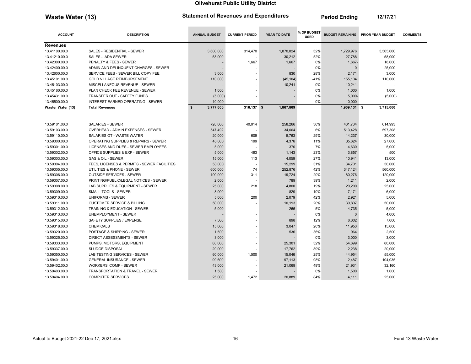Waste Water (13) **Statement of Revenues and Expenditures** Period Ending 12/17/21

**Contract Contract Contract** 

**Contract Contract** 

| <b>Feriod Elially</b> | 14/17/4 L |
|-----------------------|-----------|
|                       |           |
|                       |           |

| <b>ACCOUNT</b>                 | <b>DESCRIPTION</b>                              | <b>ANNUAL BUDGET</b> | <b>CURRENT PERIOD</b>          | YEAR TO DATE      | % OF BUDGET<br><b>USED</b> | <b>BUDGET REMAINING</b> | <b>PRIOR YEAR BUDGET</b> | <b>COMMENTS</b> |
|--------------------------------|-------------------------------------------------|----------------------|--------------------------------|-------------------|----------------------------|-------------------------|--------------------------|-----------------|
| <b>Revenues</b>                |                                                 |                      |                                |                   |                            |                         |                          |                 |
| 13.41100.00.0                  | SALES - RESIDENTIAL - SEWER                     | 3,600,000            | 314,470                        | 1,870,024         | 52%                        | 1,729,976               | 3,505,000                |                 |
| 13.41210.00.0                  | SALES - ADA SEWER                               | 58,000               |                                | 30,212            | 52%                        | 27,788                  | 58,000                   |                 |
| 13.42300.00.0                  | PENALTY & FEES - SEWER                          |                      | 1,667                          | 1,667             | 0%                         | 1,667-                  | 18,000                   |                 |
| 13.42400.00.0                  | ADMIN AND DELINQUENT CHARGES - SEWER            |                      |                                |                   | 0%                         | $\Omega$                | 25,000                   |                 |
| 13.42600.00.0                  | SERVICE FEES - SEWER BILL COPY FEE              | 3,000                |                                | 830               | 28%                        | 2,171                   | 3,000                    |                 |
| 13.45101.00.0                  | <b>GOLD VILLAGE REIMBURSEMENT</b>               | 110,000              |                                | (45, 104)         | $-41%$                     | 155,104                 | 110,000                  |                 |
| 13.45103.00.0                  | MISCELLANEOUS REVENUE - SEWER                   |                      |                                | 10,241            | 0%                         | $10,241-$               |                          |                 |
| 13.45160.00.0                  | PLAN CHECK FEE REVENUE - SEWER                  | 1,000                |                                |                   | 0%                         | 1,000                   | 1,000                    |                 |
| 13.45431.00.0                  | TRANSFER OUT - SAFETY FUNDS                     | (5,000)              |                                |                   | 0%                         | $5,000 -$               | (5,000)                  |                 |
| 13.45500.00.0                  | INTEREST EARNED OPERATING - SEWER               | 10,000               |                                |                   | 0%                         | 10,000                  |                          |                 |
| Waster Water (13)              | <b>Total Revenues</b>                           | \$<br>3,777,000      | $316,137$ \$                   | 1,867,869         |                            | 1,909,131 \$            | 3,715,000                |                 |
|                                |                                                 |                      |                                |                   |                            |                         |                          |                 |
| 13.59101.00.0                  | <b>SALARIES - SEWER</b>                         | 720,000              | 40,014                         | 258,266           | 36%                        | 461,734                 | 614,993                  |                 |
| 13.59103.00.0                  | <b>OVERHEAD - ADMIN EXPENSES - SEWER</b>        | 547,492              |                                | 34,064            | 6%                         | 513,428                 | 597,308                  |                 |
| 13.59110.00.0                  | SALARIES OT - WASTE WATER                       | 20,000               | 609                            | 5,763             | 29%                        | 14,237                  | 30,000                   |                 |
| 13.59300.00.0                  | <b>OPERATING SUPPLIES &amp; REPAIRS - SEWER</b> | 40,000               | 199                            | 4,376             | 11%                        | 35,624                  | 27,000                   |                 |
| 13.59301.00.0                  | LICENSES AND DUES - SEWER EMPLOYEES             | 5,000                |                                | 370               | 7%                         | 4,630                   | 5,000                    |                 |
| 13.59302.00.0                  | OFFICE SUPPLIES & EXP - SEWER                   | 5,000                | 493                            | 1,143             | 23%                        | 3,857                   | 500                      |                 |
|                                | GAS & OIL - SEWER                               | 15,000               | 113                            |                   | 27%                        | 10,941                  |                          |                 |
| 13.59303.00.0                  | FEES, LICENSES & PERMITS - SEWER FACILITIES     | 50,000               |                                | 4,059             | 31%                        |                         | 13,000                   |                 |
| 13.59304.00.0<br>13.59305.00.0 | UTILITIES & PHONE - SEWER                       | 600,000              | $\overline{\phantom{a}}$<br>74 | 15,299<br>252,876 | 42%                        | 34,701<br>347,124       | 50,000<br>560,000        |                 |
| 13.59306.00.0                  | <b>OUTSIDE SERVICES - SEWER</b>                 | 100,000              | 311                            | 19,724            | 20%                        | 80,276                  | 120,000                  |                 |
| 13.59307.00.0                  | PRINTING/PUBLIC/LEGAL NOTICES - SEWER           | 2,000                | $\overline{\phantom{a}}$       | 789               | 39%                        | 1,211                   | 2,000                    |                 |
| 13.59308.00.0                  | LAB SUPPLIES & EQUIPMENT - SEWER                |                      | 218                            |                   | 19%                        |                         |                          |                 |
| 13.59309.00.0                  | <b>SMALL TOOLS - SEWER</b>                      | 25,000<br>8,000      |                                | 4,800<br>829      | 10%                        | 20,200<br>7,171         | 25,000<br>6,000          |                 |
| 13.59310.00.0                  | <b>UNIFORMS - SEWER</b>                         | 5,000                | 200                            | 2,079             | 42%                        | 2,921                   | 5,000                    |                 |
| 13.59311.00.0                  | <b>CUSTOMER SERVICE &amp; BILLING</b>           | 50,000               |                                | 10,193            | 20%                        | 39,807                  | 50,000                   |                 |
| 13.59312.00.0                  | <b>TRAINING &amp; EDUCATION - SEWER</b>         | 5,000                |                                | 265               | 5%                         | 4,735                   | 5,000                    |                 |
| 13.59313.00.0                  | <b>UNEMPLOYMENT - SEWER</b>                     |                      |                                |                   | 0%                         | $\Omega$                | 4,000                    |                 |
|                                |                                                 |                      |                                |                   |                            |                         |                          |                 |
| 13.59315.00.0                  | SAFETY SUPPLIES / EXPENSE                       | 7,500                |                                | 898               | 12%                        | 6,602                   | 7,000                    |                 |
| 13.59318.00.0                  | <b>CHEMICALS</b>                                | 15,000               |                                | 3,047             | 20%                        | 11,953                  | 15,000                   |                 |
| 13.59320.00.0                  | POSTAGE & SHIPPING - SEWER                      | 1,500                |                                | 536               | 36%                        | 964                     | 2,500                    |                 |
| 13.59325.00.0                  | <b>DIRECT ASSESSMENTS - SEWER</b>               | 3,000                |                                |                   | 0%                         | 3,000                   | 3,000                    |                 |
| 13.59333.00.0                  | PUMPS, MOTORS, EQUIPMENT                        | 80,000               | $\overline{\phantom{a}}$       | 25,301            | 32%                        | 54,699                  | 80,000                   |                 |
| 13.59337.00.0                  | <b>SLUDGE DISPOSAL</b>                          | 20,000               |                                | 17,762            | 89%                        | 2,238                   | 20,000                   |                 |
| 13.59350.00.0                  | LAB TESTING SERVICES - SEWER                    | 60,000               | 1,500                          | 15,046            | 25%                        | 44,954                  | 55,000                   |                 |
| 13.59401.00.0                  | <b>GENERAL INSURANCE - SEWER</b>                | 99,600               |                                | 97,113            | 98%                        | 2,487                   | 104,035                  |                 |
| 13.59402.00.0                  | <b>WORKERS' COMP - SEWER</b>                    | 43,000               |                                | 21,069            | 49%                        | 21,931                  | 32,160                   |                 |
| 13.59403.00.0                  | TRANSPORTATION & TRAVEL - SEWER                 | 1,500                |                                |                   | 0%                         | 1,500                   | 1,000                    |                 |
| 13.59404.00.0                  | <b>COMPUTER SERVICES</b>                        | 25,000               | 1,472                          | 20,889            | 84%                        | 4,111                   | 25,000                   |                 |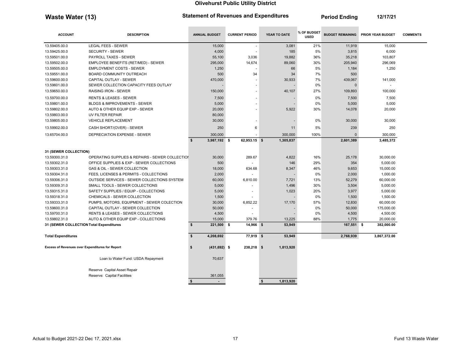Waste Water (13) Statement of Revenues and Expenditures Feriod Ending 12/17/21

**College** 

**Contract Contract Contract** 

| <b>ACCOUNT</b>                                         | <b>DESCRIPTION</b>                              | <b>ANNUAL BUDGET</b>      | <b>CURRENT PERIOD</b>    | YEAR TO DATE               | % OF BUDGET<br><b>USED</b> | <b>BUDGET REMAINING</b> | <b>PRIOR YEAR BUDGET</b> | <b>COMMENTS</b> |
|--------------------------------------------------------|-------------------------------------------------|---------------------------|--------------------------|----------------------------|----------------------------|-------------------------|--------------------------|-----------------|
| 13.59405.00.0                                          | <b>LEGAL FEES - SEWER</b>                       | 15,000                    |                          | 3,081                      | 21%                        | 11,919                  | 15,000                   |                 |
| 13.59425.00.0                                          | <b>SECURITY - SEWER</b>                         | 4,000                     |                          | 185                        | 5%                         | 3,815                   | 6,000                    |                 |
| 13.59501.00.0                                          | PAYROLL TAXES - SEWER                           | 55,100                    | 3,036                    | 19,882                     | 36%                        | 35,218                  | 103,807                  |                 |
| 13.59502.00.0                                          | EMPLOYEE BENEFITS (RET/MED) - SEWER             | 295,000                   | 14,674                   | 89,060                     | 30%                        | 205,940                 | 296,069                  |                 |
| 13.59505.00.0                                          | <b>EMPLOYMENT COSTS - SEWER</b>                 | 1,250                     |                          | 66                         | 5%                         | 1,184                   | 1,250                    |                 |
| 13.59551.00.0                                          | <b>BOARD COMMUNITY OUTREACH</b>                 | 500                       | 34                       | 34                         | 7%                         | 500                     |                          |                 |
| 13.59600.00.0                                          | CAPITAL OUTLAY - SEWER                          | 470,000                   |                          | 30,933                     | 7%                         | 439,067                 | 141,000                  |                 |
| 13.59601.00.0                                          | SEWER COLLECTION CAPACITY FEES OUTLAY           |                           | $\sim$                   |                            | 0%                         | $\Omega$                |                          |                 |
| 13.59650.00.0                                          | <b>RAISING IRON - SEWER</b>                     | 150,000                   | $\sim$                   | 40,107                     | 27%                        | 109,893                 | 100,000                  |                 |
| 13.59700.00.0                                          | <b>RENTS &amp; LEASES - SEWER</b>               | 7,500                     | $\overline{\phantom{a}}$ |                            | 0%                         | 7,500                   | 7,500                    |                 |
| 13.59801.00.0                                          | <b>BLDGS &amp; IMPROVEMENTS - SEWER</b>         | 5,000                     | $\sim$                   |                            | 0%                         | 5,000                   | 5,000                    |                 |
| 13.59802.00.0                                          | AUTO & OTHER EQUIP EXP - SEWER                  | 20,000                    |                          | 5,922                      | 30%                        | 14,078                  | 20,000                   |                 |
| 13.59803.00.0                                          | UV FILTER REPAIR                                | 80,000                    |                          |                            |                            |                         |                          |                 |
| 13.59805.00.0                                          | <b>VEHICLE REPLACEMENT</b>                      | 30,000                    |                          |                            | 0%                         | 30,000                  | 30,000                   |                 |
| 13.59902.00.0                                          | CASH SHORT/(OVER) - SEWER                       | 250                       | 6                        | 11                         | 5%                         | 239                     | 250                      |                 |
| 13.65704.00.0                                          | <b>DEPRECIATION EXPENSE - SEWER</b>             | 300,000                   |                          | 300,000                    | 100%                       | $\Omega$                | 300,000                  |                 |
|                                                        |                                                 | \$<br>3,987,192 \$        | 62,953.15 \$             | 1,305,837                  |                            | 2,601,389               | 3,485,372                |                 |
| 31 (SEWER COLLECTION)                                  |                                                 |                           |                          |                            |                            |                         |                          |                 |
| 13.59300.31.0                                          | OPERATING SUPPLIES & REPAIRS - SEWER COLLECTION | 30,000                    | 289.67                   | 4,822                      | 16%                        | 25,178                  | 30,000.00                |                 |
| 13.59302.31.0                                          | OFFICE SUPPLIES & EXP - SEWER COLLECTIONS       | 500                       | ÷                        | 146                        | 29%                        | 354                     | 5,000.00                 |                 |
| 13.59303.31.0                                          | GAS & OIL - SEWER COLLECTION                    | 18,000                    | 634.68                   | 8,347                      | 46%                        | 9,653                   | 15,000.00                |                 |
| 13.59304.31.0                                          | FEES, LICENSES & PERMITS - COLLECTIONS          | 2.000                     | $\overline{\phantom{a}}$ |                            | 0%                         | 2,000                   | 1,000.00                 |                 |
| 13.59306.31.0                                          | OUTSIDE SERVICES - SEWER COLLECTIONS SYSTEM     | 60,000                    | 6,810.00                 | 7,721                      | 13%                        | 52,279                  | 60,000.00                |                 |
| 13.59309.31.0                                          | SMALL TOOLS - SEWER COLLECTIONS                 | 5,000                     |                          | 1,496                      | 30%                        | 3,504                   | 5,000.00                 |                 |
| 13.59315.31.0                                          | SAFETY SUPPLIES / EQUIP - COLLECTIONS           | 5,000                     | $\overline{\phantom{a}}$ | 1,023                      | 20%                        | 3,977                   | 5,000.00                 |                 |
| 13.59318.31.0                                          | CHEMICALS - SEWER COLLECTION                    | 1,500                     |                          |                            | 0%                         | 1,500                   | 1,500.00                 |                 |
| 13.59333.31.0                                          | PUMPS, MOTORS, EQUIPMENT - SEWER COLECTION      | 30,000                    | 6,852.22                 | 17,170                     | 57%                        | 12,830                  | 60,000.00                |                 |
| 13.59600.31.0                                          | CAPITAL OUTLAY - SEWER COLLECTION               | 50,000                    | ٠                        |                            | 0%                         | 50,000                  | 175,000.00               |                 |
| 13.59700.31.0                                          | RENTS & LEASES - SEWER COLLECTIONS              | 4,500                     |                          |                            | 0%                         | 4,500                   | 4,500.00                 |                 |
| 13.59802.31.0                                          | AUTO & OTHER EQUIP EXP - COLLECTIONS            | 15,000                    | 379.76                   | 13,225                     | 88%                        | 1,775                   | 20,000.00                |                 |
| 31 (SEWER COLLECTION Total Expenditures                |                                                 | 221,500 \$<br>\$          | 14,966 \$                | 53,949                     |                            | 167,551 \$              | 382,000.00               |                 |
| <b>Total Expenditures</b>                              |                                                 | $\mathbf{s}$<br>4,208,692 | 77,919 \$                | 53,949                     |                            | 2,768,939               | 3,867,372.00             |                 |
| <b>Excess of Revenues over Expenditures for Report</b> |                                                 | $(431, 692)$ \$<br>\$     | 238,218 \$               | 1,813,920                  |                            |                         |                          |                 |
|                                                        | Loan to Water Fund: USDA Repayment              | 70,637                    |                          |                            |                            |                         |                          |                 |
|                                                        | Reserve Capital Asset Repair                    |                           |                          |                            |                            |                         |                          |                 |
|                                                        | Reserve: Capital Facilities                     | 361,055                   |                          |                            |                            |                         |                          |                 |
|                                                        |                                                 | \$<br>$\sim$              |                          | $\mathbf{\$}$<br>1,813,920 |                            |                         |                          |                 |